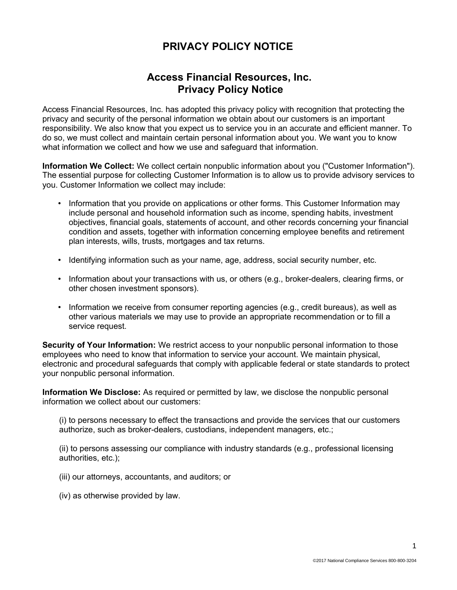## **PRIVACY POLICY NOTICE**

## **Access Financial Resources, Inc. Privacy Policy Notice**

Access Financial Resources, Inc. has adopted this privacy policy with recognition that protecting the privacy and security of the personal information we obtain about our customers is an important responsibility. We also know that you expect us to service you in an accurate and efficient manner. To do so, we must collect and maintain certain personal information about you. We want you to know what information we collect and how we use and safeguard that information.

**Information We Collect:** We collect certain nonpublic information about you ("Customer Information"). The essential purpose for collecting Customer Information is to allow us to provide advisory services to you. Customer Information we collect may include:

- Information that you provide on applications or other forms. This Customer Information may include personal and household information such as income, spending habits, investment objectives, financial goals, statements of account, and other records concerning your financial condition and assets, together with information concerning employee benefits and retirement plan interests, wills, trusts, mortgages and tax returns.
- Identifying information such as your name, age, address, social security number, etc.
- Information about your transactions with us, or others (e.g., broker-dealers, clearing firms, or other chosen investment sponsors).
- Information we receive from consumer reporting agencies (e.g., credit bureaus), as well as other various materials we may use to provide an appropriate recommendation or to fill a service request.

**Security of Your Information:** We restrict access to your nonpublic personal information to those employees who need to know that information to service your account. We maintain physical, electronic and procedural safeguards that comply with applicable federal or state standards to protect your nonpublic personal information.

**Information We Disclose:** As required or permitted by law, we disclose the nonpublic personal information we collect about our customers:

(i) to persons necessary to effect the transactions and provide the services that our customers authorize, such as broker-dealers, custodians, independent managers, etc.;

(ii) to persons assessing our compliance with industry standards (e.g., professional licensing authorities, etc.);

- (iii) our attorneys, accountants, and auditors; or
- (iv) as otherwise provided by law.